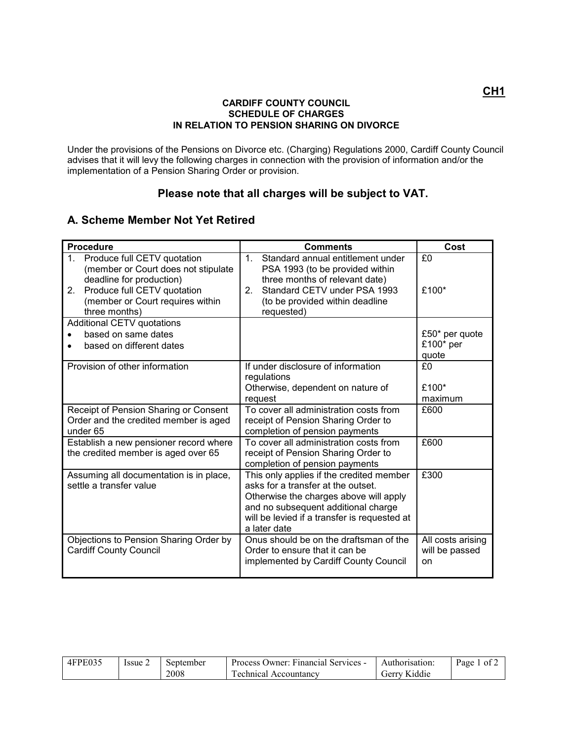## **CARDIFF COUNTY COUNCIL SCHEDULE OF CHARGES IN RELATION TO PENSION SHARING ON DIVORCE**

Under the provisions of the Pensions on Divorce etc. (Charging) Regulations 2000, Cardiff County Council advises that it will levy the following charges in connection with the provision of information and/or the implementation of a Pension Sharing Order or provision.

## **Please note that all charges will be subject to VAT.**

## **A. Scheme Member Not Yet Retired**

| <b>Procedure</b>                                                                                                                                                                               | <b>Comments</b>                                                                                                                                                                                                                 | Cost                                      |
|------------------------------------------------------------------------------------------------------------------------------------------------------------------------------------------------|---------------------------------------------------------------------------------------------------------------------------------------------------------------------------------------------------------------------------------|-------------------------------------------|
| 1.<br>Produce full CETV quotation<br>(member or Court does not stipulate<br>deadline for production)<br>Produce full CETV quotation<br>2.<br>(member or Court requires within<br>three months) | 1 <sup>1</sup><br>Standard annual entitlement under<br>PSA 1993 (to be provided within<br>three months of relevant date)<br>Standard CETV under PSA 1993<br>2 <sub>1</sub><br>(to be provided within deadline<br>requested)     | £0<br>£100*                               |
| Additional CETV quotations                                                                                                                                                                     |                                                                                                                                                                                                                                 |                                           |
| based on same dates<br>based on different dates                                                                                                                                                |                                                                                                                                                                                                                                 | £50 $*$ per quote<br>£100* per<br>quote   |
| Provision of other information                                                                                                                                                                 | If under disclosure of information<br>regulations<br>Otherwise, dependent on nature of<br>request                                                                                                                               | £0<br>£100*<br>maximum                    |
| Receipt of Pension Sharing or Consent<br>Order and the credited member is aged<br>under 65                                                                                                     | To cover all administration costs from<br>receipt of Pension Sharing Order to<br>completion of pension payments                                                                                                                 | £600                                      |
| Establish a new pensioner record where<br>the credited member is aged over 65                                                                                                                  | To cover all administration costs from<br>receipt of Pension Sharing Order to<br>completion of pension payments                                                                                                                 | £600                                      |
| Assuming all documentation is in place,<br>settle a transfer value                                                                                                                             | This only applies if the credited member<br>asks for a transfer at the outset.<br>Otherwise the charges above will apply<br>and no subsequent additional charge<br>will be levied if a transfer is requested at<br>a later date | £300                                      |
| Objections to Pension Sharing Order by<br><b>Cardiff County Council</b>                                                                                                                        | Onus should be on the draftsman of the<br>Order to ensure that it can be<br>implemented by Cardiff County Council                                                                                                               | All costs arising<br>will be passed<br>on |

| 4FPE035 | Issue | September | Process Owner: Financial Services - | Authorisation: | Page<br>- OT |
|---------|-------|-----------|-------------------------------------|----------------|--------------|
|         |       | 2008      | Technical Accountancy               | Gerry Kiddie   |              |